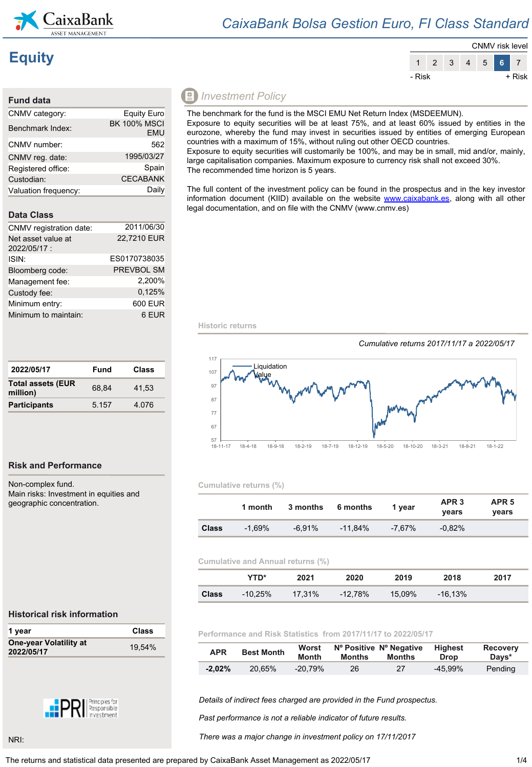

#### $8^{+11}$

| "\$'                                | & 5:                            |       | $+4( '5 + ($<br>$\ddot{\cdot}$ |
|-------------------------------------|---------------------------------|-------|--------------------------------|
| $"$ #\$<br>$\overline{\phantom{a}}$ | $\sim$ $\sim$<br>$\mathbb{R}^3$ | < 9   | $\star$<br>$+$ ,               |
| (  #  ! )                           | $\sim 10$                       |       |                                |
|                                     | $2 \quad $^{\circ}$ :           |       |                                |
| t                                   | &%%":                           |       | $)3$ \$                        |
| $'8 \quad$ \$ :<br>$\left($         |                                 | $+$   | $\lt$ 9                        |
| \$                                  | $(S' & 8 \% 4)$                 | "5:   | 0\$<br>5                       |
|                                     |                                 |       |                                |
|                                     | $9'$ & \$':                     |       |                                |
| $\mathbb{R}^n$<br>\$                | $'$ \$ ( $\frac{1}{2}$ '        |       | + ,                            |
| *) *<br>$\sim$                      |                                 | $+$ ) | ;                              |
| < 8.8 #!                            | " &<br>$\sim$ 10 $\pm$          |       | $-+ < 8 = 0$                   |
| \$                                  | $\%$ :                          |       |                                |
| ( '85% : )                          |                                 |       |                                |
| # $($ # $-5$ :                      |                                 |       |                                |
| # $($ #                             | $'8$ #\$<br>$\cdot$ '\$         | ÷     | $+$ , -                        |

| $"$ \$"".\$/.+0 |                | -8           |           |  |
|-----------------|----------------|--------------|-----------|--|
|                 | 2 <sub>3</sub> | $\mathbf{r}$ | $\cdot$ , |  |
|                 |                |              |           |  |
|                 |                |              |           |  |

| $\mathsf{H}$ 0 $\mathsf{H}$ 0 | $\mathbf{a}$ |  |
|-------------------------------|--------------|--|

| 88        | $\begin{array}{ccccccc}\n\alpha & \beta & \beta & \gamma & \alpha & \alpha \\ \vdots & \vdots & \vdots & \vdots & \vdots \\ \updownarrow & \delta & \delta & \delta & \alpha & \beta\n\end{array}$ |                |         |         | 4( | $\overline{\phantom{a}}$ | \$ |
|-----------|----------------------------------------------------------------------------------------------------------------------------------------------------------------------------------------------------|----------------|---------|---------|----|--------------------------|----|
|           |                                                                                                                                                                                                    | $\overline{(}$ | $\big)$ | $\star$ |    |                          |    |
| $\ddot{}$ |                                                                                                                                                                                                    |                |         |         |    |                          |    |
|           | $\frac{1}{1}$<br>$\frac{1}{2}$ $\frac{1}{2}$ $\frac{1}{2}$ $\frac{1}{2}$ $\frac{1}{2}$ $\frac{1}{2}$ $\frac{1}{2}$                                                                                 |                |         |         |    |                          |    |
|           |                                                                                                                                                                                                    |                |         |         |    |                          |    |

 $\rightarrow$  .  $^\circ$  (  $15'$   $175$ \$  $$ ' $ 3$ 

- & ! " #\$
	- % ("& ' & % | ' # 3& " \$ ! % & ( ' 3 & 3 " ' \$ | 5 | ' & % & + \$ ' & % & + \$ ' & " \$ 1 & " \$ | % & ( ' 3 & 3 " ' \$ | \$ | & ' & ' \ \$ & ' \ \$ & ' \ \$ & ' \ \$ & ' \ \$ & ' \ \$ & ' \ \$ & ' \ \$ & ' \ \$ & ' \ \$ & ' \ \$ & ' \ \$



| $\prec$ |       | 2%4   |         |   |   |  |
|---------|-------|-------|---------|---|---|--|
|         | $+$ * | $9 *$ | $\star$ | ÷ | 9 |  |
|         |       |       | ٠       |   | ٠ |  |
| $\pm$   |       |       | $2\%4$  |   |   |  |

| 6 | " ጥ " | "S"S | $"5 + i$ | $\mathbb{R}^n \times \mathbb{R}^n$<br>$+8$ | $\mathbf{c}$ . |
|---|-------|------|----------|--------------------------------------------|----------------|
|   |       |      |          |                                            |                |
|   |       |      |          |                                            |                |

 $\left( \right)$ 

|           | $!$ " # \$ " % |   |                                            |   |       |   |   |  |                            |                                                                |
|-----------|----------------|---|--------------------------------------------|---|-------|---|---|--|----------------------------|----------------------------------------------------------------|
|           |                |   |                                            |   |       |   |   |  |                            |                                                                |
|           |                |   |                                            |   |       | л | # |  |                            | $\mathbf{H}$                                                   |
|           |                |   |                                            |   |       |   |   |  |                            |                                                                |
|           |                |   |                                            |   |       |   |   |  |                            |                                                                |
| $\,$ $\,$ |                | % |                                            | & | $"$ # |   |   |  |                            | $^{\prime}$ ( ) $^{\prime\prime}$ ) $^{\star}$ + $^{\prime}$ ( |
|           |                |   |                                            |   |       |   |   |  |                            |                                                                |
|           | \$             |   | $3\quad 3\quad 4\quad 15\quad 5\quad .5<4$ |   |       |   |   |  | $\cdot$ \$ \$ # $\cdot$ \$ |                                                                |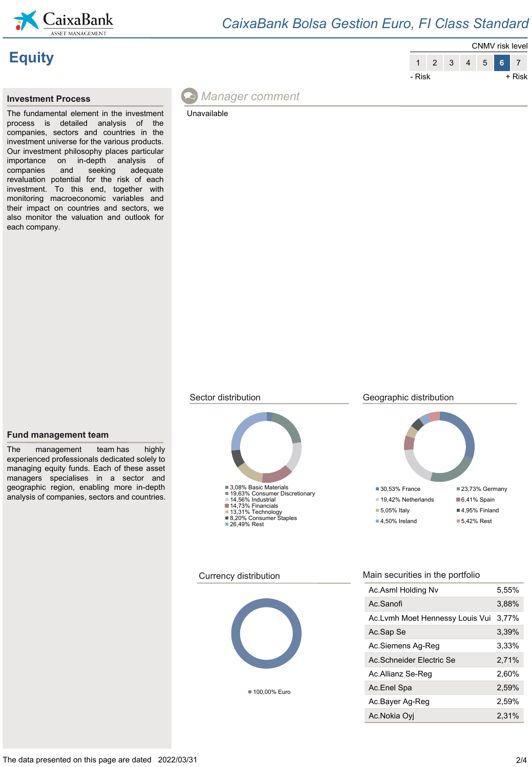

# **Equity**



The fundamental element in the investment process is detailed analysis of the companies, sectors and countries in the investment universe for the various products. Our investment philosophy places particular importance on in-depth analysis of companies and seeking adequate revaluation potential for the risk of each investment. To this end, together with monitoring macroeconomic variables and their impact on countries and sectors, we also monitor the valuation and outlook for each company.



Unavailable







## Sector distribution Geographic distribution





■ 100,00% Euro

### Currency distribution Main securities in the portfolio

| Ac.Asml Holding Nv              | 5.55% |
|---------------------------------|-------|
| Ac Sanofi                       | 3.88% |
| Ac.Lvmh Moet Hennessy Louis Vui | 3.77% |
| Ac Sap Se                       | 3.39% |
| Ac.Siemens Ag-Reg               | 3,33% |
| Ac Schneider Electric Se        | 2.71% |
| Ac.Allianz Se-Reg               | 2.60% |
| Ac Enel Spa                     | 2.59% |
| Ac.Bayer Ag-Reg                 | 2.59% |
| Ac.Nokia Ovi                    | 2,31% |

### **Fund management team**

The management team has highly experienced professionals dedicated solely to managing equity funds. Each of these asset managers specialises in a sector and geographic region, enabling more in-depth analysis of companies, sectors and countries.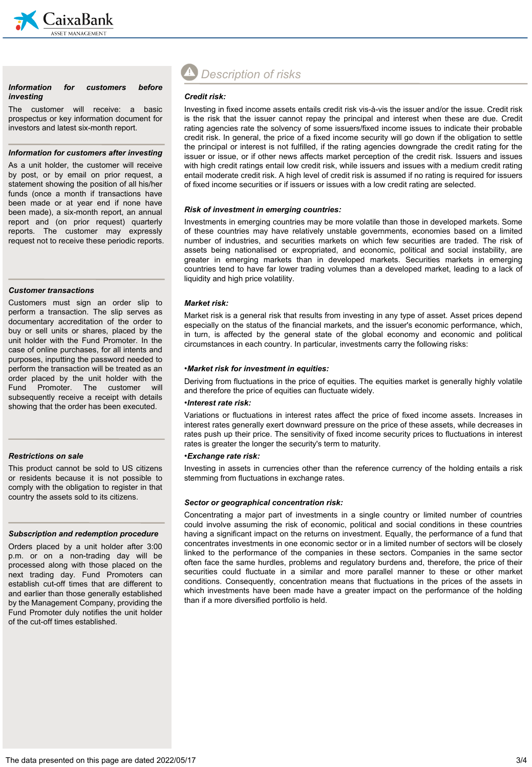

#### *Information for customers before investing*

The customer will receive: a basic prospectus or key information document for investors and latest six-month report.

#### *Information for customers after investing*

As a unit holder, the customer will receive by post, or by email on prior request, a statement showing the position of all his/her funds (once a month if transactions have been made or at year end if none have been made), a six-month report, an annual report and (on prior request) quarterly reports. The customer may expressly request not to receive these periodic reports.

#### *Customer transactions*

Customers must sign an order slip to perform a transaction. The slip serves as documentary accreditation of the order to buy or sell units or shares, placed by the unit holder with the Fund Promoter. In the case of online purchases, for all intents and purposes, inputting the password needed to perform the transaction will be treated as an order placed by the unit holder with the Fund Promoter. The customer will subsequently receive a receipt with details showing that the order has been executed.

#### *Restrictions on sale*

This product cannot be sold to US citizens or residents because it is not possible to comply with the obligation to register in that country the assets sold to its citizens.

#### *Subscription and redemption procedure*

Orders placed by a unit holder after 3:00 p.m. or on a non-trading day will be processed along with those placed on the next trading day. Fund Promoters can establish cut-off times that are different to and earlier than those generally established by the Management Company, providing the Fund Promoter duly notifies the unit holder of the cut-off times established.

# *Description of risks*

#### *Credit risk:*

Investing in fixed income assets entails credit risk vis-à-vis the issuer and/or the issue. Credit risk is the risk that the issuer cannot repay the principal and interest when these are due. Credit rating agencies rate the solvency of some issuers/fixed income issues to indicate their probable credit risk. In general, the price of a fixed income security will go down if the obligation to settle the principal or interest is not fulfilled, if the rating agencies downgrade the credit rating for the issuer or issue, or if other news affects market perception of the credit risk. Issuers and issues with high credit ratings entail low credit risk, while issuers and issues with a medium credit rating entail moderate credit risk. A high level of credit risk is assumed if no rating is required for issuers of fixed income securities or if issuers or issues with a low credit rating are selected.

#### *Risk of investment in emerging countries:*

Investments in emerging countries may be more volatile than those in developed markets. Some of these countries may have relatively unstable governments, economies based on a limited number of industries, and securities markets on which few securities are traded. The risk of assets being nationalised or expropriated, and economic, political and social instability, are greater in emerging markets than in developed markets. Securities markets in emerging countries tend to have far lower trading volumes than a developed market, leading to a lack of liquidity and high price volatility.

#### *Market risk:*

Market risk is a general risk that results from investing in any type of asset. Asset prices depend especially on the status of the financial markets, and the issuer's economic performance, which, in turn, is affected by the general state of the global economy and economic and political circumstances in each country. In particular, investments carry the following risks:

#### •*Market risk for investment in equities:*

Deriving from fluctuations in the price of equities. The equities market is generally highly volatile and therefore the price of equities can fluctuate widely.

#### •*Interest rate risk:*

Variations or fluctuations in interest rates affect the price of fixed income assets. Increases in interest rates generally exert downward pressure on the price of these assets, while decreases in rates push up their price. The sensitivity of fixed income security prices to fluctuations in interest rates is greater the longer the security's term to maturity.

#### •*Exchange rate risk:*

Investing in assets in currencies other than the reference currency of the holding entails a risk stemming from fluctuations in exchange rates.

#### *Sector or geographical concentration risk:*

Concentrating a major part of investments in a single country or limited number of countries could involve assuming the risk of economic, political and social conditions in these countries having a significant impact on the returns on investment. Equally, the performance of a fund that concentrates investments in one economic sector or in a limited number of sectors will be closely linked to the performance of the companies in these sectors. Companies in the same sector often face the same hurdles, problems and regulatory burdens and, therefore, the price of their securities could fluctuate in a similar and more parallel manner to these or other market conditions. Consequently, concentration means that fluctuations in the prices of the assets in which investments have been made have a greater impact on the performance of the holding than if a more diversified portfolio is held.